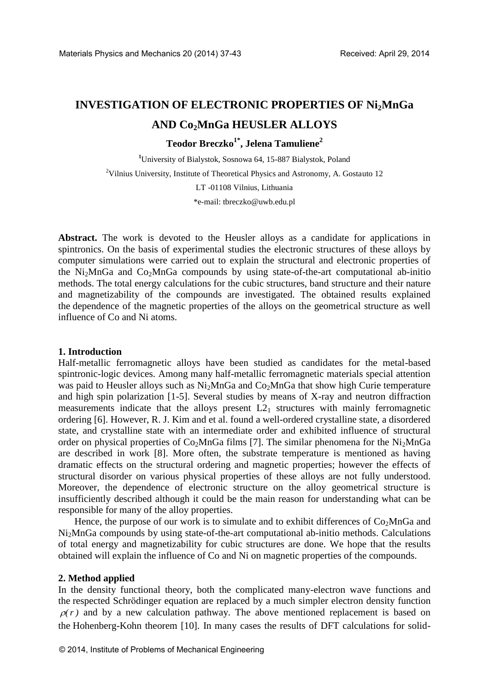# **INVESTIGATION OF ELECTRONIC PROPERTIES OF Ni2MnGa AND Co2MnGa HEUSLER ALLOYS**

**Teodor Breczko1\*, Jelena Tamuliene<sup>2</sup>**

**<sup>1</sup>**University of Bialystok, Sosnowa 64, 15-887 Bialystok, Poland  $2$ Vilnius University, Institute of Theoretical Physics and Astronomy, A. Gostauto 12 LT -01108 Vilnius, Lithuania \*e-mail: [tbreczko@uwb.edu.pl](mailto:tbreczko@uwb.edu.pl)

**Abstract.** The work is devoted to the Heusler alloys as a candidate for applications in spintronics. On the basis of experimental studies the electronic structures of these alloys by computer simulations were carried out to explain the structural and electronic properties of the Ni<sub>2</sub>MnGa and Co<sub>2</sub>MnGa compounds by using state-of-the-art computational ab-initio methods. The total energy calculations for the cubic structures, band structure and their nature and magnetizability of the compounds are investigated. The obtained results explained the dependence of the magnetic properties of the alloys on the geometrical structure as well influence of Co and Ni atoms.

## **1. Introduction**

Half-metallic ferromagnetic alloys have been studied as candidates for the metal-based spintronic-logic devices. Among many half-metallic ferromagnetic materials special attention was paid to Heusler alloys such as Ni<sub>2</sub>MnGa and Co<sub>2</sub>MnGa that show high Curie temperature and high spin polarization [1-5]. Several studies by means of X-ray and neutron diffraction measurements indicate that the alloys present  $L2<sub>1</sub>$  structures with mainly ferromagnetic ordering [6]. However, R. J. Kim and et al. found a well-ordered crystalline state, a disordered state, and crystalline state with an intermediate order and exhibited influence of structural order on physical properties of  $Co<sub>2</sub>MnGa$  films [7]. The similar phenomena for the Ni<sub>2</sub>MnGa are described in work [8]. More often, the substrate temperature is mentioned as having dramatic effects on the structural ordering and magnetic properties; however the effects of structural disorder on various physical properties of these alloys are not fully understood. Moreover, the dependence of electronic structure on the alloy geometrical structure is insufficiently described although it could be the main reason for understanding what can be responsible for many of the alloy properties.

Hence, the purpose of our work is to simulate and to exhibit differences of  $Co<sub>2</sub>MnGa$  and Ni2MnGa compounds by using state-of-the-art computational ab-initio methods. Calculations of total energy and magnetizability for cubic structures are done. We hope that the results obtained will explain the influence of Co and Ni on magnetic properties of the compounds.

## **2. Method applied**

In the density functional theory, both the complicated many-electron wave functions and the respected Schrödinger equation are replaced by a much simpler electron density function  $\rho(r)$  and by a new calculation pathway. The above mentioned replacement is based on the Hohenberg-Kohn theorem [10]. In many cases the results of DFT calculations for solid-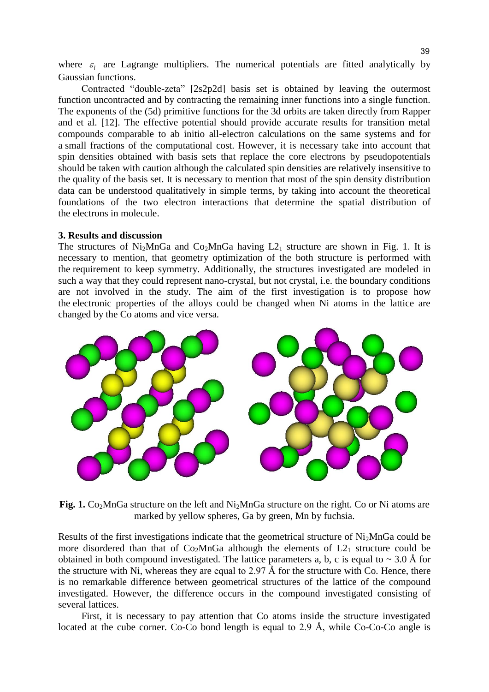where  $\varepsilon_l$  are Lagrange multipliers. The numerical potentials are fitted analytically by Gaussian functions.

Contracted "double-zeta" [2s2p2d] basis set is obtained by leaving the outermost function uncontracted and by contracting the remaining inner functions into a single function. The exponents of the (5d) primitive functions for the 3d orbits are taken directly from Rapper and et al. [12]. The effective potential should provide accurate results for transition metal compounds comparable to ab initio all-electron calculations on the same systems and for a small fractions of the computational cost. However, it is necessary take into account that spin densities obtained with basis sets that replace the core electrons by pseudopotentials should be taken with caution although the calculated spin densities are relatively insensitive to the quality of the basis set. It is necessary to mention that most of the spin density distribution data can be understood qualitatively in simple terms, by taking into account the theoretical foundations of the two electron interactions that determine the spatial distribution of the electrons in molecule.

#### **3. Results and discussion**

The structures of Ni<sub>2</sub>MnGa and Co<sub>2</sub>MnGa having  $L2_1$  structure are shown in Fig. 1. It is necessary to mention, that geometry optimization of the both structure is performed with the requirement to keep symmetry. Additionally, the structures investigated are modeled in such a way that they could represent nano-crystal, but not crystal, i.e. the boundary conditions are not involved in the study. The aim of the first investigation is to propose how the electronic properties of the alloys could be changed when Ni atoms in the lattice are changed by the Co atoms and vice versa.



Fig. 1. Co<sub>2</sub>MnGa structure on the left and Ni<sub>2</sub>MnGa structure on the right. Co or Ni atoms are marked by yellow spheres, Ga by green, Mn by fuchsia.

Results of the first investigations indicate that the geometrical structure of Ni<sub>2</sub>MnGa could be more disordered than that of  $Co<sub>2</sub>MnGa$  although the elements of  $L2<sub>1</sub>$  structure could be obtained in both compound investigated. The lattice parameters a, b, c is equal to  $\sim 3.0 \text{ Å}$  for the structure with Ni, whereas they are equal to 2.97 Å for the structure with Co. Hence, there is no remarkable difference between geometrical structures of the lattice of the compound investigated. However, the difference occurs in the compound investigated consisting of several lattices.

First, it is necessary to pay attention that Co atoms inside the structure investigated located at the cube corner. Co-Co bond length is equal to 2.9 Å, while Co-Co-Co angle is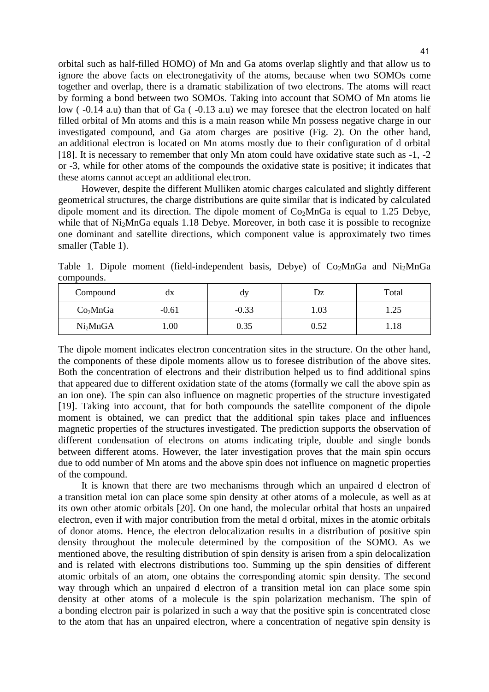orbital such as half-filled HOMO) of Mn and Ga atoms overlap slightly and that allow us to ignore the above facts on electronegativity of the atoms, because when two SOMOs come together and overlap, there is a dramatic stabilization of two electrons. The atoms will react by forming a bond between two SOMOs. Taking into account that SOMO of Mn atoms lie low ( $-0.14$  a.u) than that of Ga ( $-0.13$  a.u) we may foresee that the electron located on half filled orbital of Mn atoms and this is a main reason while Mn possess negative charge in our investigated compound, and Ga atom charges are positive (Fig. 2). On the other hand, an additional electron is located on Mn atoms mostly due to their configuration of d orbital [18]. It is necessary to remember that only Mn atom could have oxidative state such as -1, -2 or -3, while for other atoms of the compounds the oxidative state is positive; it indicates that these atoms cannot accept an additional electron.

However, despite the different Mulliken atomic charges calculated and slightly different geometrical structures, the charge distributions are quite similar that is indicated by calculated dipole moment and its direction. The dipole moment of  $Co<sub>2</sub>MnGa$  is equal to 1.25 Debye, while that of Ni<sub>2</sub>MnGa equals 1.18 Debye. Moreover, in both case it is possible to recognize one dominant and satellite directions, which component value is approximately two times smaller (Table 1).

Table 1. Dipole moment (field-independent basis, Debye) of  $Co<sub>2</sub>MnGa$  and  $Ni<sub>2</sub>MnGa$ compounds.

| Compound             | dx      | u١      | Dz   | Total        |
|----------------------|---------|---------|------|--------------|
| Co <sub>2</sub> MnGa | $-0.61$ | $-0.33$ | 1.03 | つち<br>ل که ۱ |
| Ni <sub>2</sub> MnGA | 00.1    | 0.35    | 0.52 | 1.18         |

The dipole moment indicates electron concentration sites in the structure. On the other hand, the components of these dipole moments allow us to foresee distribution of the above sites. Both the concentration of electrons and their distribution helped us to find additional spins that appeared due to different oxidation state of the atoms (formally we call the above spin as an ion one). The spin can also influence on magnetic properties of the structure investigated [19]. Taking into account, that for both compounds the satellite component of the dipole moment is obtained, we can predict that the additional spin takes place and influences magnetic properties of the structures investigated. The prediction supports the observation of different condensation of electrons on atoms indicating triple, double and single bonds between different atoms. However, the later investigation proves that the main spin occurs due to odd number of Mn atoms and the above spin does not influence on magnetic properties of the compound.

It is known that there are two mechanisms through which an unpaired d electron of a transition metal ion can place some spin density at other atoms of a molecule, as well as at its own other atomic orbitals [20]. On one hand, the molecular orbital that hosts an unpaired electron, even if with major contribution from the metal d orbital, mixes in the atomic orbitals of donor atoms. Hence, the electron delocalization results in a distribution of positive spin density throughout the molecule determined by the composition of the SOMO. As we mentioned above, the resulting distribution of spin density is arisen from a spin delocalization and is related with electrons distributions too. Summing up the spin densities of different atomic orbitals of an atom, one obtains the corresponding atomic spin density. The second way through which an unpaired d electron of a transition metal ion can place some spin density at other atoms of a molecule is the spin polarization mechanism. The spin of a bonding electron pair is polarized in such a way that the positive spin is concentrated close to the atom that has an unpaired electron, where a concentration of negative spin density is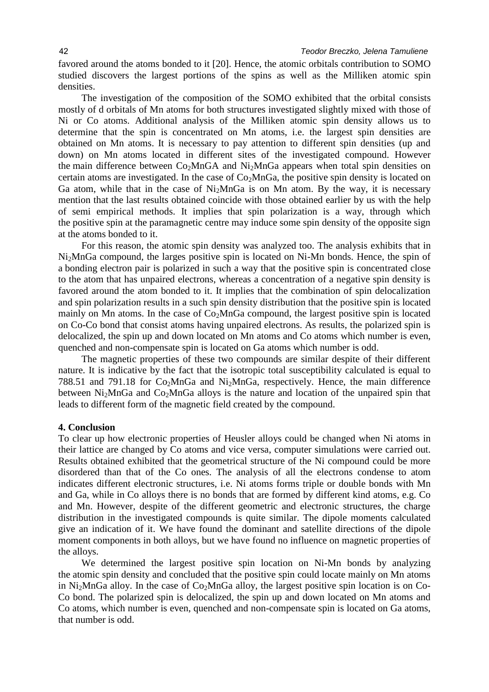favored around the atoms bonded to it [20]. Hence, the atomic orbitals contribution to SOMO studied discovers the largest portions of the spins as well as the Milliken atomic spin densities.

The investigation of the composition of the SOMO exhibited that the orbital consists mostly of d orbitals of Mn atoms for both structures investigated slightly mixed with those of Ni or Co atoms. Additional analysis of the Milliken atomic spin density allows us to determine that the spin is concentrated on Mn atoms, i.e. the largest spin densities are obtained on Mn atoms. It is necessary to pay attention to different spin densities (up and down) on Mn atoms located in different sites of the investigated compound. However the main difference between  $Co<sub>2</sub>MnGA$  and  $Ni<sub>2</sub>MnGa$  appears when total spin densities on certain atoms are investigated. In the case of  $Co<sub>2</sub>MnGa$ , the positive spin density is located on Ga atom, while that in the case of  $Ni<sub>2</sub>MnGa$  is on Mn atom. By the way, it is necessary mention that the last results obtained coincide with those obtained earlier by us with the help of semi empirical methods. It implies that spin polarization is a way, through which the positive spin at the paramagnetic centre may induce some spin density of the opposite sign at the atoms bonded to it.

For this reason, the atomic spin density was analyzed too. The analysis exhibits that in Ni2MnGa compound, the larges positive spin is located on Ni-Mn bonds. Hence, the spin of a bonding electron pair is polarized in such a way that the positive spin is concentrated close to the atom that has unpaired electrons, whereas a concentration of a negative spin density is favored around the atom bonded to it. It implies that the combination of spin delocalization and spin polarization results in a such spin density distribution that the positive spin is located mainly on Mn atoms. In the case of  $Co<sub>2</sub>MnGa$  compound, the largest positive spin is located on Co-Co bond that consist atoms having unpaired electrons. As results, the polarized spin is delocalized, the spin up and down located on Mn atoms and Co atoms which number is even, quenched and non-compensate spin is located on Ga atoms which number is odd.

The magnetic properties of these two compounds are similar despite of their different nature. It is indicative by the fact that the isotropic total susceptibility calculated is equal to 788.51 and 791.18 for  $Co<sub>2</sub>MnGa$  and  $Ni<sub>2</sub>MnGa$ , respectively. Hence, the main difference between  $Ni<sub>2</sub>MnGa$  and  $Co<sub>2</sub>MnGa$  alloys is the nature and location of the unpaired spin that leads to different form of the magnetic field created by the compound.

## **4. Conclusion**

To clear up how electronic properties of Heusler alloys could be changed when Ni atoms in their lattice are changed by Co atoms and vice versa, computer simulations were carried out. Results obtained exhibited that the geometrical structure of the Ni compound could be more disordered than that of the Co ones. The analysis of all the electrons condense to atom indicates different electronic structures, i.e. Ni atoms forms triple or double bonds with Mn and Ga, while in Co alloys there is no bonds that are formed by different kind atoms, e.g. Co and Mn. However, despite of the different geometric and electronic structures, the charge distribution in the investigated compounds is quite similar. The dipole moments calculated give an indication of it. We have found the dominant and satellite directions of the dipole moment components in both alloys, but we have found no influence on magnetic properties of the alloys.

We determined the largest positive spin location on Ni-Mn bonds by analyzing the atomic spin density and concluded that the positive spin could locate mainly on Mn atoms in Ni<sub>2</sub>MnGa alloy. In the case of  $Co<sub>2</sub>MnGa$  alloy, the largest positive spin location is on Co-Co bond. The polarized spin is delocalized, the spin up and down located on Mn atoms and Co atoms, which number is even, quenched and non-compensate spin is located on Ga atoms, that number is odd.